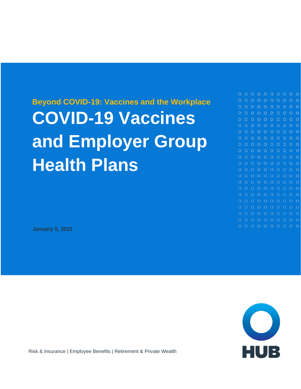## **Beyond COVID-19: Vaccines and the Workplace COVID-19 Vaccines and Employer Group Health Plans**

 $0 0 0 0 0 0 0 0 0 0 0$  $O$   $O$  $\circ$  $O$   $O$  $0000$  $O$   $O$   $O$  $O$   $O$  $\circ$  $\bigcap$  $\circ$   $\circ$  $\circ$  $O$   $O$  $\cap$  $\circ$  $\circ$  $O$   $O$  $\circ$  $O$   $O$ o o  $\circ$   $\circ$ 

**January 5, 2021**



Risk & Insurance | Employee Benefits | Retirement & Private Wealth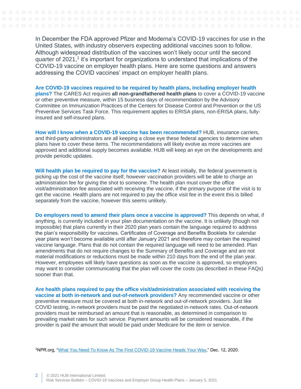In December the FDA approved Pfizer and Moderna's COVID-19 vaccines for use in the United States, with industry observers expecting additional vaccines soon to follow. Although widespread distribution of the vaccines won't likely occur until the second quarter of 2021,<sup>1</sup> it's important for organizations to understand that implications of the COVID-19 vaccine on employer health plans. Here are some questions and answers addressing the COVID vaccines' impact on employer health plans.

**Are COVID-19 vaccines required to be required by health plans, including employer health plans?** The CARES Act requires **all non-grandfathered health plans** to cover a COVID-19 vaccine or other preventive measure, within 15 business days of recommendation by the Advisory Committee on Immunization Practices of the Centers for Disease Control and Prevention or the US Preventive Services Task Force. This requirement applies to ERISA plans, non-ERISA plans, fullyinsured and self-insured plans.

**How will I know when a COVID-19 vaccine has been recommended?** HUB, insurance carriers, and third-party administrators are all keeping a close eye these federal agencies to determine when plans have to cover these items. The recommendations will likely evolve as more vaccines are approved and additional supply becomes available. HUB will keep an eye on the developments and provide periodic updates.

**Will health plan be required to pay for the vaccine?** At least initially, the federal government is picking up the cost of the vaccine itself, however vaccination providers will be able to charge an administration fee for giving the shot to someone. The health plan must cover the office visit/administration fee associated with receiving the vaccine, if the primary purpose of the visit is to get the vaccine. Health plans are not required to pay the office visit fee in the event this is billed separately from the vaccine, however this seems unlikely.

**Do employers need to amend their plans once a vaccine is approved?** This depends on what, if anything, is currently included in your plan documentation on the vaccine. It is unlikely (though not impossible) that plans currently in their 2020 plan years contain the language required to address the plan's responsibility for vaccines. Certificates of Coverage and Benefits Booklets for calendar year plans won't become available until after January 2021 and therefore may contain the required vaccine language. Plans that do not contain the required language will need to be amended. Plan amendments that do not require changes to the Summary of Benefits and Coverage and are not material modifications or reductions must be made within 210 days from the end of the plan year. However, employees will likely have questions as soon as the vaccine is approved, so employers may want to consider communicating that the plan will cover the costs (as described in these FAQs) sooner than that.

**Are health plans required to pay the office visit/administration associated with receiving the vaccine at both in-network and out-of-network providers?** Any recommended vaccine or other preventive measure must be covered at both in-network and out-of-network providers. Just like COVID testing, in-network providers must be paid the negotiated in-network rates. Out-of-network providers must be reimbursed an amount that is reasonable, as determined in comparison to prevailing market rates for such service. Payment amounts will be considered reasonable, if the provider is paid the amount that would be paid under Medicare for the item or service.

<sup>1</sup>NPR.org, ["What You Need To Know As The First COVID-19 Vaccine Heads Your Way,](https://www.npr.org/sections/health-shots/2020/12/12/945288710/what-you-need-to-know-as-the-first-covid-19-vaccine-heads-your-way)" Dec. 12, 2020.